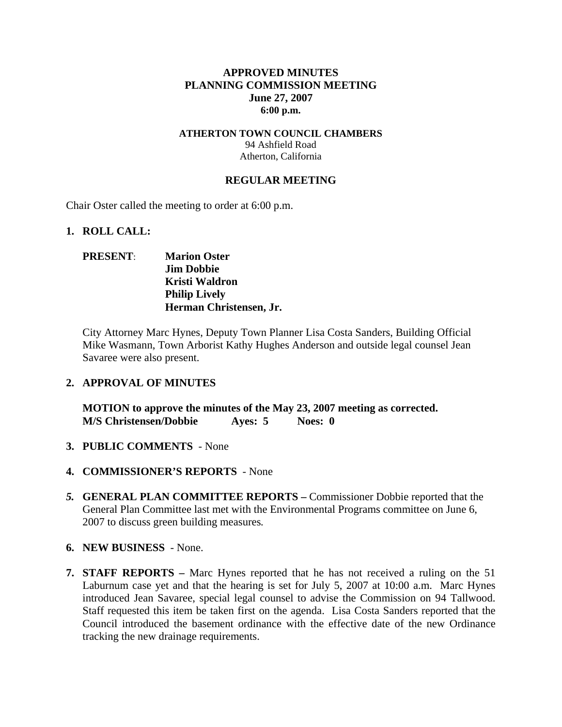## **APPROVED MINUTES PLANNING COMMISSION MEETING June 27, 2007 6:00 p.m.**

### **ATHERTON TOWN COUNCIL CHAMBERS**  94 Ashfield Road Atherton, California

### **REGULAR MEETING**

Chair Oster called the meeting to order at 6:00 p.m.

#### **1. ROLL CALL:**

## **PRESENT**: **Marion Oster Jim Dobbie Kristi Waldron Philip Lively Herman Christensen, Jr.**

City Attorney Marc Hynes, Deputy Town Planner Lisa Costa Sanders, Building Official Mike Wasmann, Town Arborist Kathy Hughes Anderson and outside legal counsel Jean Savaree were also present.

### **2. APPROVAL OF MINUTES**

**MOTION to approve the minutes of the May 23, 2007 meeting as corrected. M/S Christensen/Dobbie Ayes: 5 Noes: 0** 

- **3. PUBLIC COMMENTS** None
- **4. COMMISSIONER'S REPORTS**  None
- *5.* **GENERAL PLAN COMMITTEE REPORTS –** Commissioner Dobbie reported that the General Plan Committee last met with the Environmental Programs committee on June 6, 2007 to discuss green building measures*.*
- **6. NEW BUSINESS**  None.
- **7. STAFF REPORTS** Marc Hynes reported that he has not received a ruling on the 51 Laburnum case yet and that the hearing is set for July 5, 2007 at 10:00 a.m. Marc Hynes introduced Jean Savaree, special legal counsel to advise the Commission on 94 Tallwood. Staff requested this item be taken first on the agenda. Lisa Costa Sanders reported that the Council introduced the basement ordinance with the effective date of the new Ordinance tracking the new drainage requirements.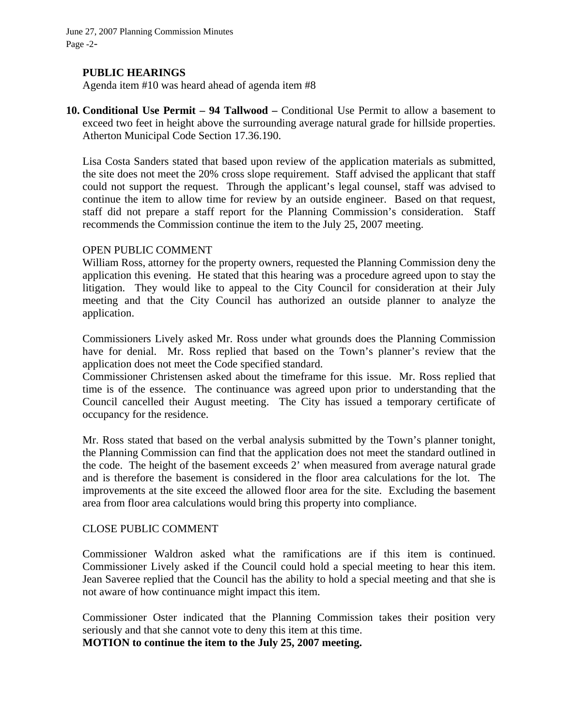June 27, 2007 Planning Commission Minutes Page -2-

### **PUBLIC HEARINGS**

Agenda item #10 was heard ahead of agenda item #8

**10. Conditional Use Permit – 94 Tallwood –** Conditional Use Permit to allow a basement to exceed two feet in height above the surrounding average natural grade for hillside properties. Atherton Municipal Code Section 17.36.190.

Lisa Costa Sanders stated that based upon review of the application materials as submitted, the site does not meet the 20% cross slope requirement. Staff advised the applicant that staff could not support the request. Through the applicant's legal counsel, staff was advised to continue the item to allow time for review by an outside engineer. Based on that request, staff did not prepare a staff report for the Planning Commission's consideration. Staff recommends the Commission continue the item to the July 25, 2007 meeting.

### OPEN PUBLIC COMMENT

William Ross, attorney for the property owners, requested the Planning Commission deny the application this evening. He stated that this hearing was a procedure agreed upon to stay the litigation. They would like to appeal to the City Council for consideration at their July meeting and that the City Council has authorized an outside planner to analyze the application.

Commissioners Lively asked Mr. Ross under what grounds does the Planning Commission have for denial. Mr. Ross replied that based on the Town's planner's review that the application does not meet the Code specified standard.

Commissioner Christensen asked about the timeframe for this issue. Mr. Ross replied that time is of the essence. The continuance was agreed upon prior to understanding that the Council cancelled their August meeting. The City has issued a temporary certificate of occupancy for the residence.

Mr. Ross stated that based on the verbal analysis submitted by the Town's planner tonight, the Planning Commission can find that the application does not meet the standard outlined in the code. The height of the basement exceeds 2' when measured from average natural grade and is therefore the basement is considered in the floor area calculations for the lot. The improvements at the site exceed the allowed floor area for the site. Excluding the basement area from floor area calculations would bring this property into compliance.

### CLOSE PUBLIC COMMENT

Commissioner Waldron asked what the ramifications are if this item is continued. Commissioner Lively asked if the Council could hold a special meeting to hear this item. Jean Saveree replied that the Council has the ability to hold a special meeting and that she is not aware of how continuance might impact this item.

Commissioner Oster indicated that the Planning Commission takes their position very seriously and that she cannot vote to deny this item at this time.

**MOTION to continue the item to the July 25, 2007 meeting.**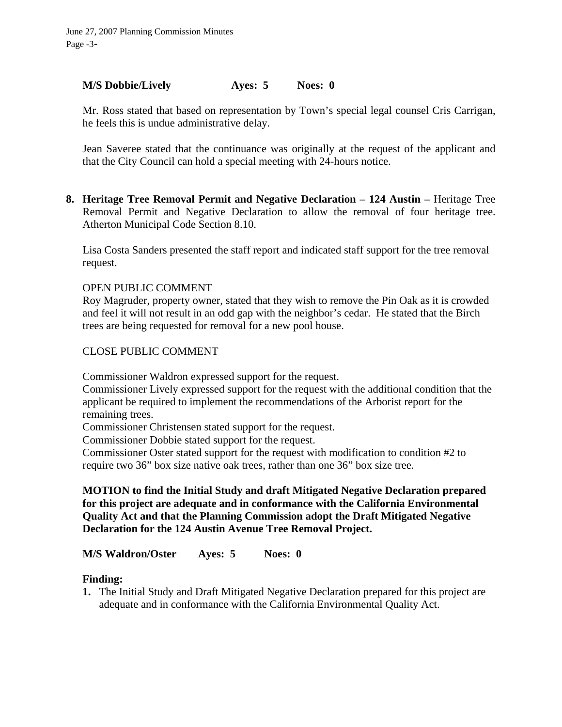## **M/S Dobbie/Lively Ayes: 5 Noes: 0**

Mr. Ross stated that based on representation by Town's special legal counsel Cris Carrigan, he feels this is undue administrative delay.

Jean Saveree stated that the continuance was originally at the request of the applicant and that the City Council can hold a special meeting with 24-hours notice.

**8. Heritage Tree Removal Permit and Negative Declaration – 124 Austin –** Heritage Tree Removal Permit and Negative Declaration to allow the removal of four heritage tree. Atherton Municipal Code Section 8.10.

Lisa Costa Sanders presented the staff report and indicated staff support for the tree removal request.

## OPEN PUBLIC COMMENT

Roy Magruder, property owner, stated that they wish to remove the Pin Oak as it is crowded and feel it will not result in an odd gap with the neighbor's cedar. He stated that the Birch trees are being requested for removal for a new pool house.

## CLOSE PUBLIC COMMENT

Commissioner Waldron expressed support for the request.

Commissioner Lively expressed support for the request with the additional condition that the applicant be required to implement the recommendations of the Arborist report for the remaining trees.

Commissioner Christensen stated support for the request.

Commissioner Dobbie stated support for the request.

Commissioner Oster stated support for the request with modification to condition #2 to require two 36" box size native oak trees, rather than one 36" box size tree.

## **MOTION to find the Initial Study and draft Mitigated Negative Declaration prepared for this project are adequate and in conformance with the California Environmental Quality Act and that the Planning Commission adopt the Draft Mitigated Negative Declaration for the 124 Austin Avenue Tree Removal Project.**

**M/S Waldron/Oster Ayes: 5 Noes: 0** 

## **Finding:**

**1.** The Initial Study and Draft Mitigated Negative Declaration prepared for this project are adequate and in conformance with the California Environmental Quality Act.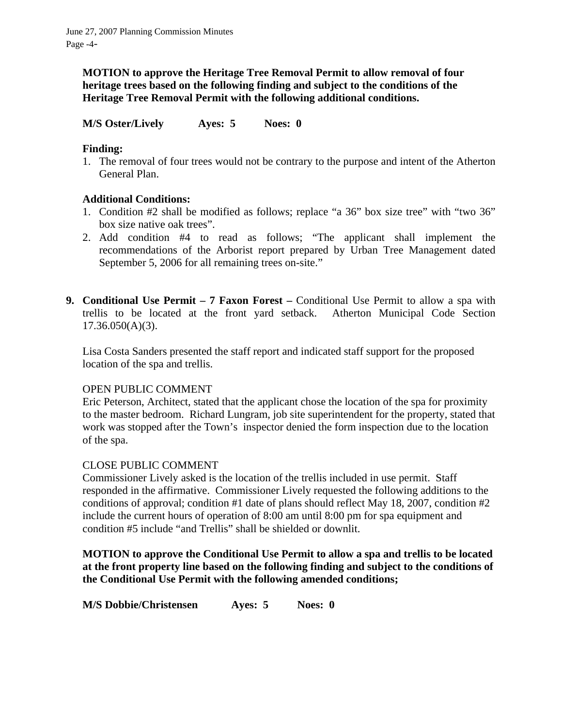**MOTION to approve the Heritage Tree Removal Permit to allow removal of four heritage trees based on the following finding and subject to the conditions of the Heritage Tree Removal Permit with the following additional conditions.** 

**M/S Oster/Lively Ayes: 5 Noes: 0** 

# **Finding:**

1. The removal of four trees would not be contrary to the purpose and intent of the Atherton General Plan.

# **Additional Conditions:**

- 1. Condition #2 shall be modified as follows; replace "a 36" box size tree" with "two 36" box size native oak trees".
- 2. Add condition #4 to read as follows; "The applicant shall implement the recommendations of the Arborist report prepared by Urban Tree Management dated September 5, 2006 for all remaining trees on-site."
- **9. Conditional Use Permit 7 Faxon Forest** Conditional Use Permit to allow a spa with trellis to be located at the front yard setback. Atherton Municipal Code Section 17.36.050(A)(3).

Lisa Costa Sanders presented the staff report and indicated staff support for the proposed location of the spa and trellis.

## OPEN PUBLIC COMMENT

Eric Peterson, Architect, stated that the applicant chose the location of the spa for proximity to the master bedroom. Richard Lungram, job site superintendent for the property, stated that work was stopped after the Town's inspector denied the form inspection due to the location of the spa.

## CLOSE PUBLIC COMMENT

Commissioner Lively asked is the location of the trellis included in use permit. Staff responded in the affirmative. Commissioner Lively requested the following additions to the conditions of approval; condition #1 date of plans should reflect May 18, 2007, condition #2 include the current hours of operation of 8:00 am until 8:00 pm for spa equipment and condition #5 include "and Trellis" shall be shielded or downlit.

**MOTION to approve the Conditional Use Permit to allow a spa and trellis to be located at the front property line based on the following finding and subject to the conditions of the Conditional Use Permit with the following amended conditions;** 

**M/S Dobbie/Christensen Ayes: 5 Noes: 0**